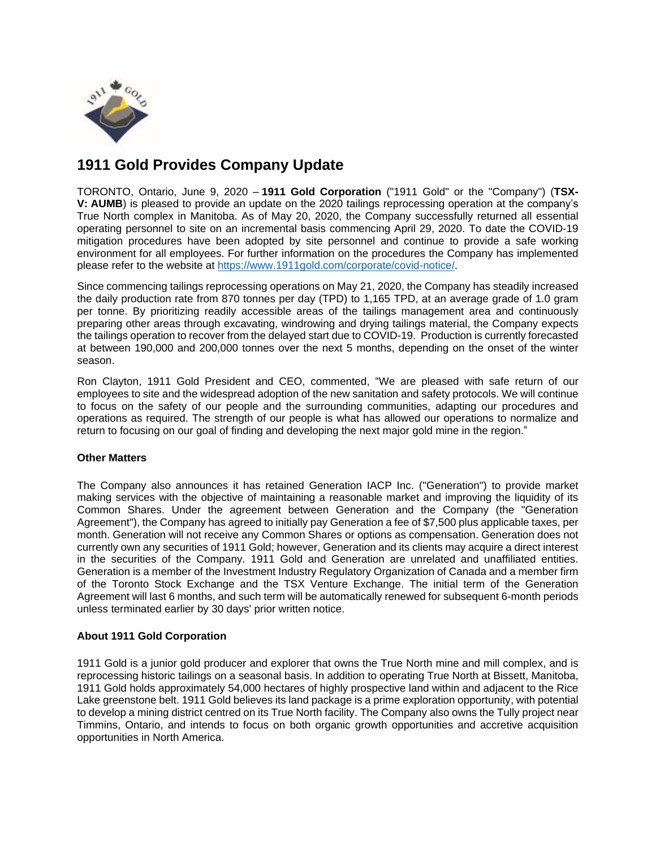

# **1911 Gold Provides Company Update**

TORONTO, Ontario, June 9, 2020 – **1911 Gold Corporation** ("1911 Gold" or the "Company") (**TSX-V: AUMB**) is pleased to provide an update on the 2020 tailings reprocessing operation at the company's True North complex in Manitoba. As of May 20, 2020, the Company successfully returned all essential operating personnel to site on an incremental basis commencing April 29, 2020. To date the COVID-19 mitigation procedures have been adopted by site personnel and continue to provide a safe working environment for all employees. For further information on the procedures the Company has implemented please refer to the website at [https://www.1911gold.com/corporate/covid-notice/.](https://www.1911gold.com/corporate/covid-notice/)

Since commencing tailings reprocessing operations on May 21, 2020, the Company has steadily increased the daily production rate from 870 tonnes per day (TPD) to 1,165 TPD, at an average grade of 1.0 gram per tonne. By prioritizing readily accessible areas of the tailings management area and continuously preparing other areas through excavating, windrowing and drying tailings material, the Company expects the tailings operation to recover from the delayed start due to COVID-19. Production is currently forecasted at between 190,000 and 200,000 tonnes over the next 5 months, depending on the onset of the winter season.

Ron Clayton, 1911 Gold President and CEO, commented, "We are pleased with safe return of our employees to site and the widespread adoption of the new sanitation and safety protocols. We will continue to focus on the safety of our people and the surrounding communities, adapting our procedures and operations as required. The strength of our people is what has allowed our operations to normalize and return to focusing on our goal of finding and developing the next major gold mine in the region."

## **Other Matters**

The Company also announces it has retained Generation IACP Inc. ("Generation") to provide market making services with the objective of maintaining a reasonable market and improving the liquidity of its Common Shares. Under the agreement between Generation and the Company (the "Generation Agreement"), the Company has agreed to initially pay Generation a fee of \$7,500 plus applicable taxes, per month. Generation will not receive any Common Shares or options as compensation. Generation does not currently own any securities of 1911 Gold; however, Generation and its clients may acquire a direct interest in the securities of the Company. 1911 Gold and Generation are unrelated and unaffiliated entities. Generation is a member of the Investment Industry Regulatory Organization of Canada and a member firm of the Toronto Stock Exchange and the TSX Venture Exchange. The initial term of the Generation Agreement will last 6 months, and such term will be automatically renewed for subsequent 6-month periods unless terminated earlier by 30 days' prior written notice.

### **About 1911 Gold Corporation**

1911 Gold is a junior gold producer and explorer that owns the True North mine and mill complex, and is reprocessing historic tailings on a seasonal basis. In addition to operating True North at Bissett, Manitoba, 1911 Gold holds approximately 54,000 hectares of highly prospective land within and adjacent to the Rice Lake greenstone belt. 1911 Gold believes its land package is a prime exploration opportunity, with potential to develop a mining district centred on its True North facility. The Company also owns the Tully project near Timmins, Ontario, and intends to focus on both organic growth opportunities and accretive acquisition opportunities in North America.